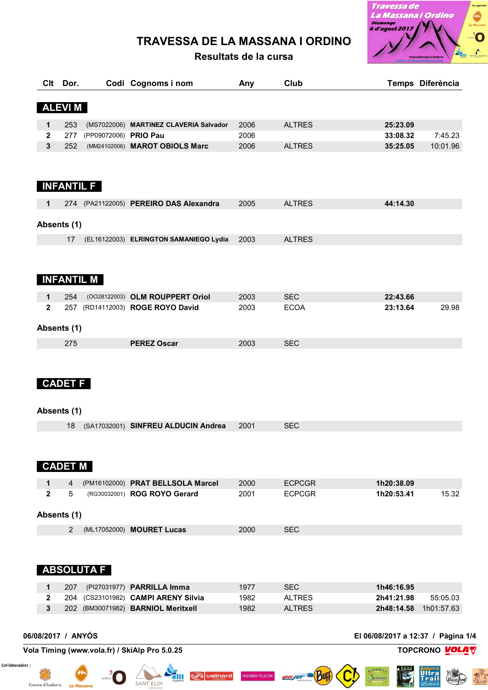# **TRAVESSA DE LA MASSANA I ORDINO**

**Resultats de la cursa**



**Andorra** Mala

Buff

|              | Clt Dor.           |                       | Codi Cognoms i nom                                                | Any          | Club                        |                                    | Temps Diferència      |
|--------------|--------------------|-----------------------|-------------------------------------------------------------------|--------------|-----------------------------|------------------------------------|-----------------------|
|              | <b>ALEVIM</b>      |                       |                                                                   |              |                             |                                    |                       |
| 1            | 253                |                       | (MS7022006) MARTINEZ CLAVERIA Salvador                            | 2006         | <b>ALTRES</b>               | 25:23.09                           |                       |
| $\mathbf{2}$ | 277                | (PP09072006) PRIO Pau |                                                                   | 2006         |                             | 33:08.32                           | 7:45.23               |
| 3            | 252                |                       | (MM24102006) MAROT OBIOLS Marc                                    | 2006         | <b>ALTRES</b>               | 35:25.05                           | 10:01.96              |
|              | <b>INFANTIL F</b>  |                       |                                                                   |              |                             |                                    |                       |
| 1            |                    |                       | 274 (PA21122005) PEREIRO DAS Alexandra                            | 2005         | <b>ALTRES</b>               | 44:14.30                           |                       |
|              | Absents (1)        |                       |                                                                   |              |                             |                                    |                       |
|              | 17                 |                       | (EL16122003) ELRINGTON SAMANIEGO Lydia                            | 2003         | <b>ALTRES</b>               |                                    |                       |
|              | <b>INFANTIL M</b>  |                       |                                                                   |              |                             |                                    |                       |
| 1            | 254                |                       | (0028122003) OLM ROUPPERT Oriol                                   | 2003         | <b>SEC</b>                  | 22:43.66                           |                       |
| $\mathbf{2}$ |                    |                       | 257 (RD14112003) ROGE ROYO David                                  | 2003         | <b>ECOA</b>                 | 23:13.64                           | 29.98                 |
|              | Absents (1)        |                       |                                                                   |              |                             |                                    |                       |
|              | 275                |                       | <b>PEREZ Oscar</b>                                                | 2003         | <b>SEC</b>                  |                                    |                       |
|              | <b>CADET F</b>     |                       |                                                                   |              |                             |                                    |                       |
|              | Absents (1)        |                       |                                                                   |              |                             |                                    |                       |
|              |                    |                       | 18 (SA17032001) SINFREU ALDUCIN Andrea                            | 2001         | <b>SEC</b>                  |                                    |                       |
|              | <b>CADET M</b>     |                       |                                                                   |              |                             |                                    |                       |
| 1            | 4                  |                       | (PM16102000) PRAT BELLSOLA Marcel                                 | 2000         | <b>ECPCGR</b>               | 1h20:38.09                         |                       |
| $\mathbf{2}$ | 5                  |                       | (RG30032001) ROG ROYO Gerard                                      | 2001         | <b>ECPCGR</b>               | 1h20:53.41                         | 15.32                 |
|              | Absents (1)        |                       |                                                                   |              |                             |                                    |                       |
|              | 2                  |                       |                                                                   |              |                             |                                    |                       |
|              |                    |                       | (ML17052000) MOURET Lucas                                         | 2000         | <b>SEC</b>                  |                                    |                       |
|              |                    | <b>ABSOLUTA F</b>     |                                                                   |              |                             |                                    |                       |
| 1            |                    |                       |                                                                   |              |                             |                                    |                       |
| $\mathbf{2}$ | 207                |                       | (PI27031977) PARRILLA Imma<br>204 (CS23101982) CAMPI ARENY Silvia | 1977<br>1982 | <b>SEC</b><br><b>ALTRES</b> | 1h46:16.95<br>2h41:21.98           | 55:05.03              |
| 3            |                    |                       | 202 (BM30071982) BARNIOL Meritxell                                | 1982         | <b>ALTRES</b>               |                                    | 2h48:14.58 1h01:57.63 |
|              | 06/08/2017 / ANYÓS |                       |                                                                   |              |                             | El 06/08/2017 a 12:37 / Pàgina 1/4 |                       |

dlit

**SANT ELOI** 

**W**vallnord

ANDORRA TELECOM

offr

Col·laboradors :

Govern d'Andorra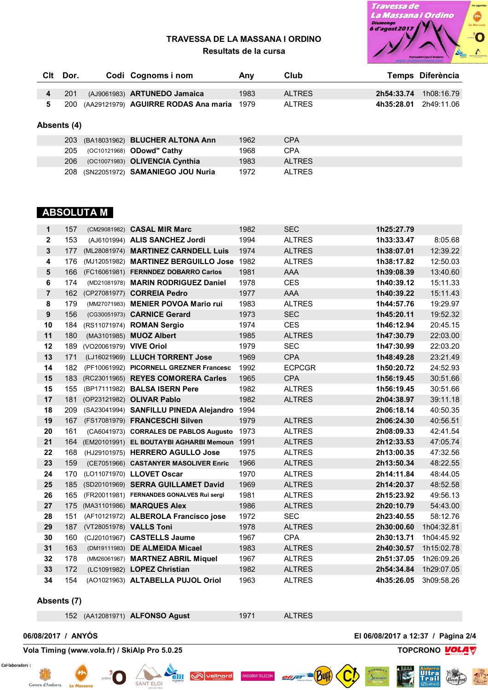

#### **TRAVESSA DE LA MASSANA I ORDINO Resultats de la cursa**

| Clt | Dor.        |  | Codi Cognoms i nom                   | Any  | Club          |            | Temps Diferència |  |  |
|-----|-------------|--|--------------------------------------|------|---------------|------------|------------------|--|--|
| 4   | 201         |  | (AJ9061983) ARTUNEDO Jamaica         | 1983 | <b>ALTRES</b> | 2h54:33.74 | 1h08:16.79       |  |  |
| 5   | 200         |  | (AA29121979) AGUIRRE RODAS Ana maria | 1979 | <b>ALTRES</b> | 4h35:28.01 | 2h49:11.06       |  |  |
|     | Absents (4) |  |                                      |      |               |            |                  |  |  |
|     | 203         |  | (BA18031962) BLUCHER ALTONA Ann      | 1962 | <b>CPA</b>    |            |                  |  |  |
|     | 205         |  | (OC10121968) ODowd" Cathy            | 1968 | <b>CPA</b>    |            |                  |  |  |
|     | 206         |  | (OC10071983) OLIVENCIA Cynthia       | 1983 | <b>ALTRES</b> |            |                  |  |  |
|     | 208         |  | (SN22051972) SAMANIEGO JOU Nuria     | 1972 | <b>ALTRES</b> |            |                  |  |  |

### **ABSOLUTA M**

| $\mathbf 1$    | 157 |                         | (CM29081982) CASAL MIR Marc               | 1982 | <b>SEC</b>    | 1h25:27.79 |            |
|----------------|-----|-------------------------|-------------------------------------------|------|---------------|------------|------------|
| $\overline{2}$ | 153 |                         | (AJ6101994) ALIS SANCHEZ Jordi            | 1994 | <b>ALTRES</b> | 1h33:33.47 | 8:05.68    |
| $\mathbf{3}$   | 177 |                         | (ML28081974) MARTINEZ CARNDELL Luis       | 1974 | <b>ALTRES</b> | 1h38:07.01 | 12:39.22   |
| 4              | 176 |                         | (MJ12051982) MARTINEZ BERGUILLO Jose 1982 |      | <b>ALTRES</b> | 1h38:17.82 | 12:50.03   |
| 5              | 166 |                         | (FC16061981) FERNNDEZ DOBARRO Carlos      | 1981 | <b>AAA</b>    | 1h39:08.39 | 13:40.60   |
| 6              | 174 |                         | (MD21081978) MARIN RODRIGUEZ Daniel       | 1978 | <b>CES</b>    | 1h40:39.12 | 15:11.33   |
| $\overline{7}$ | 162 |                         | (CP27081977) CORREIA Pedro                | 1977 | <b>AAA</b>    | 1h40:39.22 | 15:11.43   |
| 8              | 179 |                         | (MM27071983) MENIER POVOA Mario rui       | 1983 | <b>ALTRES</b> | 1h44:57.76 | 19:29.97   |
| 9              | 156 |                         | (CG30051973) CARNICE Gerard               | 1973 | <b>SEC</b>    | 1h45:20.11 | 19:52.32   |
| 10             | 184 |                         | (RS11071974) ROMAN Sergio                 | 1974 | <b>CES</b>    | 1h46:12.94 | 20:45.15   |
| 11             | 180 |                         | (MA3101985) MUOZ Albert                   | 1985 | <b>ALTRES</b> | 1h47:30.79 | 22:03.00   |
| 12             | 189 | (VO20061979) VIVE Oriol |                                           | 1979 | <b>SEC</b>    | 1h47:30.99 | 22:03.20   |
| 13             | 171 |                         | (LJ16021969) LLUCH TORRENT Jose           | 1969 | <b>CPA</b>    | 1h48:49.28 | 23:21.49   |
| 14             | 182 |                         | (PF10061992) PICORNELL GREZNER Francesc   | 1992 | <b>ECPCGR</b> | 1h50:20.72 | 24:52.93   |
| 15             | 183 |                         | (RC23011965) REYES COMORERA Carles        | 1965 | <b>CPA</b>    | 1h56:19.45 | 30:51.66   |
| 15             | 155 |                         | (BP17111982) BALSA ISERN Pere             | 1982 | <b>ALTRES</b> | 1h56:19.45 | 30:51.66   |
| 17             | 181 |                         | (OP23121982) OLIVAR Pablo                 | 1982 | <b>ALTRES</b> | 2h04:38.97 | 39:11.18   |
| 18             | 209 |                         | (SA23041994) SANFILLU PINEDA Alejandro    | 1994 |               | 2h06:18.14 | 40:50.35   |
| 19             | 167 |                         | (FS17081979) FRANCESCHI Silven            | 1979 | <b>ALTRES</b> | 2h06:24.30 | 40:56.51   |
| 20             | 161 |                         | (CA6041973) CORRALES DE PABLOS Augusto    | 1973 | <b>ALTRES</b> | 2h08:09.33 | 42:41.54   |
| 21             | 164 |                         | (EM20101991) EL BOUTAYBI AGHARBI Memoun   | 1991 | <b>ALTRES</b> | 2h12:33.53 | 47:05.74   |
| 22             | 168 |                         | (HJ29101975) HERRERO AGULLO Jose          | 1975 | <b>ALTRES</b> | 2h13:00.35 | 47:32.56   |
| 23             | 159 |                         | (CE7051966) CASTANYER MASOLIVER Enric     | 1966 | <b>ALTRES</b> | 2h13:50.34 | 48:22.55   |
| 24             | 170 |                         | (LO11071970) LLOVET Oscar                 | 1970 | <b>ALTRES</b> | 2h14:11.84 | 48:44.05   |
| 25             | 185 |                         | (SD20101969) SERRA GUILLAMET David        | 1969 | <b>ALTRES</b> | 2h14:20.37 | 48:52.58   |
| 26             | 165 |                         | (FR20011981) FERNANDES GONALVES Rui sergi | 1981 | <b>ALTRES</b> | 2h15:23.92 | 49:56.13   |
| 27             | 175 |                         | (MA31101986) MARQUES Alex                 | 1986 | <b>ALTRES</b> | 2h20:10.79 | 54:43.00   |
| 28             | 151 |                         | (AF10121972) ALBEROLA Francisco jose      | 1972 | <b>SEC</b>    | 2h23:40.55 | 58:12.76   |
| 29             | 187 |                         | (VT28051978) VALLS Toni                   | 1978 | <b>ALTRES</b> | 2h30:00.60 | 1h04:32.81 |
| 30             | 160 |                         | (CJ20101967) CASTELLS Jaume               | 1967 | <b>CPA</b>    | 2h30:13.71 | 1h04:45.92 |
| 31             | 163 |                         | (DM19111983) DE ALMEIDA Micael            | 1983 | <b>ALTRES</b> | 2h40:30.57 | 1h15:02.78 |
| 32             | 178 |                         | (MM26061967) MARTNEZ ABRIL Miquel         | 1967 | <b>ALTRES</b> | 2h51:37.05 | 1h26:09.26 |
| 33             | 172 |                         | (LC1091982) LOPEZ Christian               | 1982 | <b>ALTRES</b> | 2h54:34.84 | 1h29:07.05 |
| 34             | 154 |                         | (AO1021963) ALTABELLA PUJOL Oriol         | 1963 | <b>ALTRES</b> | 4h35:26.05 | 3h09:58.26 |

#### **Absents (7)**

(AA12081971) **ALFONSO Agust** 1971 ALTRES

NDORRA TELECOM

**06/08/2017 / ANYÓS El 06/08/2017 a 12:37 / Pàgina 2/4**

## **Vola Timing (www.vola.fr) / SkiAlp Pro 5.0.25 TOPCRONO VOLA**







Bul

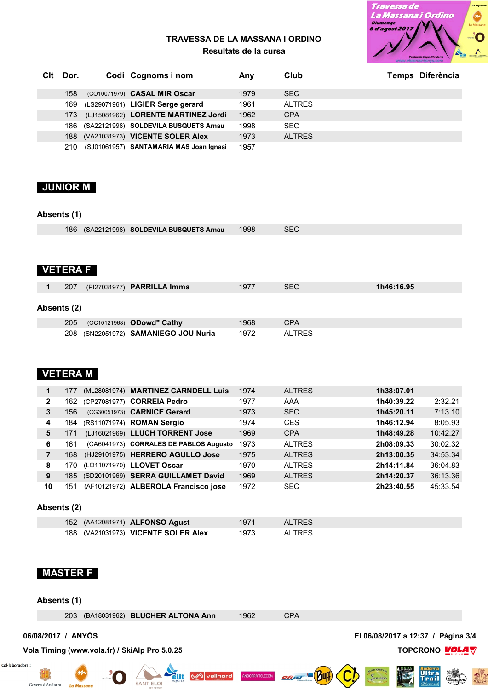

#### **TRAVESSA DE LA MASSANA I ORDINO Resultats de la cursa**

| Clt | Dor. | Codi Cognoms i nom                      | Anv  | Club          | Temps Diferència |
|-----|------|-----------------------------------------|------|---------------|------------------|
|     | 158  | (CO10071979) CASAL MIR Oscar            | 1979 | <b>SEC</b>    |                  |
|     | 169  | (LS29071961) LIGIER Serge gerard        | 1961 | AI TRES       |                  |
|     | 173  | (LJ15081962) LORENTE MARTINEZ Jordi     | 1962 | <b>CPA</b>    |                  |
|     | 186  | (SA22121998) SOLDEVILA BUSQUETS Arnau   | 1998 | SEC.          |                  |
|     | 188  | (VA21031973) VICENTE SOLER Alex         | 1973 | <b>ALTRES</b> |                  |
|     | 210  | (SJ01061957) SANTAMARIA MAS Joan Ignasi | 1957 |               |                  |

### **JUNIOR M**

#### **Absents (1)**

|  | 186 (SA22121998) SOLDEVILA BUSQUETS Arnau 1998 |  | <b>SEC</b> |
|--|------------------------------------------------|--|------------|
|--|------------------------------------------------|--|------------|

### **VETERA F**

|             | 207 | (PI27031977) <b>PARRILLA Imma</b>    | 1977 | <b>SEC</b>    | 1h46:16.95 |
|-------------|-----|--------------------------------------|------|---------------|------------|
| Absents (2) |     |                                      |      |               |            |
|             | 205 | (OC10121968) <b>ODowd" Cathy</b>     | 1968 | <b>CPA</b>    |            |
|             |     | 208 (SN22051972) SAMANIEGO JOU Nuria | 1972 | <b>ALTRES</b> |            |

## **VETERA M**

|              | 177  | (ML28081974) MARTINEZ CARNDELL Luis    | 1974 | <b>ALTRES</b> | 1h38:07.01 |          |
|--------------|------|----------------------------------------|------|---------------|------------|----------|
| $\mathbf{2}$ | 162  | (CP27081977) CORREIA Pedro             | 1977 | AAA           | 1h40:39.22 | 2:32.21  |
| 3            | 156  | (CG30051973) CARNICE Gerard            | 1973 | <b>SEC</b>    | 1h45:20.11 | 7:13.10  |
| 4            | 184  | (RS11071974) ROMAN Sergio              | 1974 | <b>CES</b>    | 1h46:12.94 | 8:05.93  |
| 5            | 171  | (LJ16021969) LLUCH TORRENT Jose        | 1969 | <b>CPA</b>    | 1h48:49.28 | 10:42.27 |
| 6            | 161  | (CA6041973) CORRALES DE PABLOS Augusto | 1973 | <b>ALTRES</b> | 2h08:09.33 | 30:02.32 |
|              | 168  | (HJ29101975) HERRERO AGULLO Jose       | 1975 | <b>ALTRES</b> | 2h13:00.35 | 34:53.34 |
| 8            | 170. | (LO11071970) LLOVET Oscar              | 1970 | <b>ALTRES</b> | 2h14:11.84 | 36:04.83 |
| 9            |      | 185 (SD20101969) SERRA GUILLAMET David | 1969 | <b>ALTRES</b> | 2h14:20.37 | 36:13.36 |
| 10           | 151  | (AF10121972) ALBEROLA Francisco jose   | 1972 | <b>SEC</b>    | 2h23:40.55 | 45:33.54 |

### **Absents (2)**

|  | 152 (AA12081971) <b>ALFONSO Agust</b> | 1971 | <b>ALTRES</b> |
|--|---------------------------------------|------|---------------|
|  | 188 (VA21031973) VICENTE SOLER Alex   | 1973 | ALTRES        |

### **MASTER F**

Govern d'Andorra

#### **Absents (1)** 203 (BA18031962) **BLUCHER ALTONA Ann** 1962 CPA**06/08/2017 / ANYÓS El 06/08/2017 a 12:37 / Pàgina 3/4 Vola Timing (www.vola.fr) / SkiAlp Pro 5.0.25 TOPCRONO VOLA** Col·laboradors : **Andorra** Mala vallnord **INDORRA TELECO** SAN